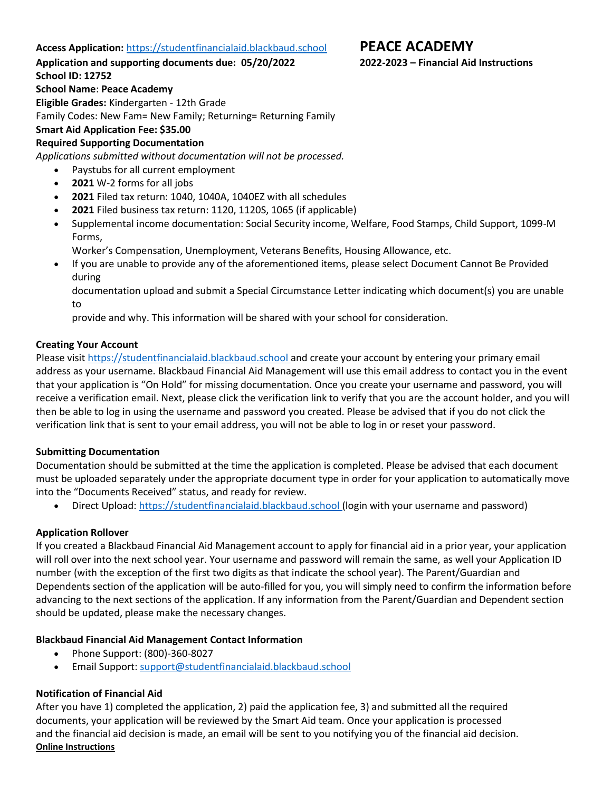## **Access Application:** [https://studentfinancialaid.blackbaud.school](https://studentfinancialaid.blackbaud.school/) **PEACE ACADEMY**

**Application and supporting documents due: 05/20/2022 2022-2023 – Financial Aid Instructions**

**School ID: 12752**

**School Name**: **Peace Academy**

**Eligible Grades:** Kindergarten - 12th Grade

Family Codes: New Fam= New Family; Returning= Returning Family

# **Smart Aid Application Fee: \$35.00**

## **Required Supporting Documentation**

*Applications submitted without documentation will not be processed.*

- Paystubs for all current employment
- **2021** W-2 forms for all jobs
- **2021** Filed tax return: 1040, 1040A, 1040EZ with all schedules
- **2021** Filed business tax return: 1120, 1120S, 1065 (if applicable)
- Supplemental income documentation: Social Security income, Welfare, Food Stamps, Child Support, 1099-M Forms,

Worker's Compensation, Unemployment, Veterans Benefits, Housing Allowance, etc.

• If you are unable to provide any of the aforementioned items, please select Document Cannot Be Provided during

documentation upload and submit a Special Circumstance Letter indicating which document(s) you are unable to

provide and why. This information will be shared with your school for consideration.

## **Creating Your Account**

Please visit [https://studentfinancialaid.blackbaud.school](http://studentfinancialaid.blackbaud.school/) and create your account by entering your primary email address as your username. Blackbaud Financial Aid Management will use this email address to contact you in the event that your application is "On Hold" for missing documentation. Once you create your username and password, you will receive a verification email. Next, please click the verification link to verify that you are the account holder, and you will then be able to log in using the username and password you created. Please be advised that if you do not click the verification link that is sent to your email address, you will not be able to log in or reset your password.

## **Submitting Documentation**

Documentation should be submitted at the time the application is completed. Please be advised that each document must be uploaded separately under the appropriate document type in order for your application to automatically move into the "Documents Received" status, and ready for review.

• Direct Upload: [https://studentfinancialaid.blackbaud.school](http://studentfinancialaid.blackbaud.school/) (login with your username and password)

## **Application Rollover**

If you created a Blackbaud Financial Aid Management account to apply for financial aid in a prior year, your application will roll over into the next school year. Your username and password will remain the same, as well your Application ID number (with the exception of the first two digits as that indicate the school year). The Parent/Guardian and Dependents section of the application will be auto-filled for you, you will simply need to confirm the information before advancing to the next sections of the application. If any information from the Parent/Guardian and Dependent section should be updated, please make the necessary changes.

## **Blackbaud Financial Aid Management Contact Information**

- Phone Support: (800)-360-8027
- Email Support: [support@studentfinancialaid.blackbaud.school](mailto:support@studentfinancialaid.blackbaud.school)

## **Notification of Financial Aid**

After you have 1) completed the application, 2) paid the application fee, 3) and submitted all the required documents, your application will be reviewed by the Smart Aid team. Once your application is processed and the financial aid decision is made, an email will be sent to you notifying you of the financial aid decision. **Online Instructions**